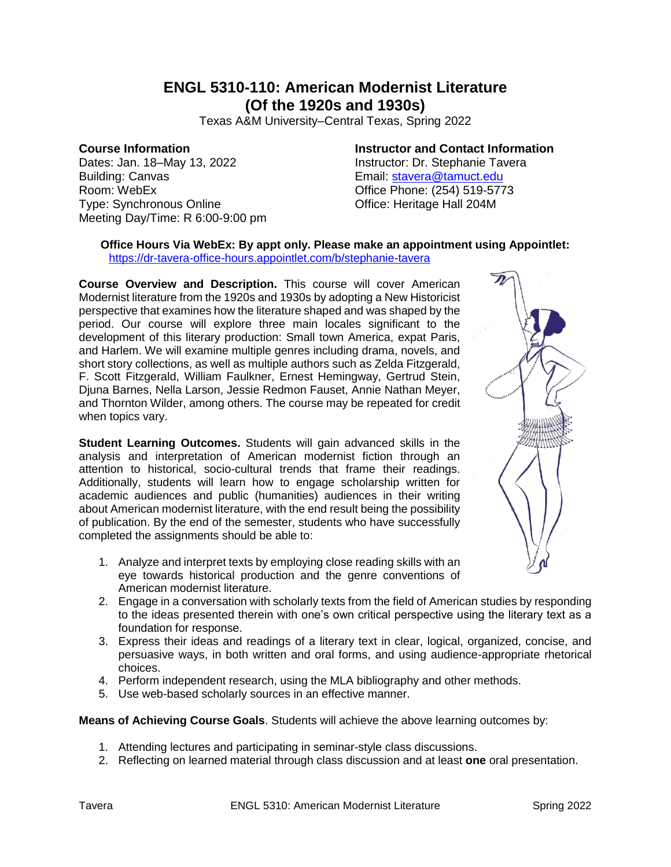# **ENGL 5310-110: American Modernist Literature (Of the 1920s and 1930s)**

Texas A&M University–Central Texas, Spring 2022

## **Course Information**

Dates: Jan. 18–May 13, 2022 Building: Canvas Room: WebEx Type: Synchronous Online Meeting Day/Time: R 6:00-9:00 pm **Instructor and Contact Information** Instructor: Dr. Stephanie Tavera Email: [stavera@tamuct.edu](mailto:stavera@tamuct.edu) Office Phone: (254) 519-5773 Office: Heritage Hall 204M

#### **Office Hours Via WebEx: By appt only. Please make an appointment using Appointlet:** <https://dr-tavera-office-hours.appointlet.com/b/stephanie-tavera>

**Course Overview and Description.** This course will cover American Modernist literature from the 1920s and 1930s by adopting a New Historicist perspective that examines how the literature shaped and was shaped by the period. Our course will explore three main locales significant to the development of this literary production: Small town America, expat Paris, and Harlem. We will examine multiple genres including drama, novels, and short story collections, as well as multiple authors such as Zelda Fitzgerald, F. Scott Fitzgerald, William Faulkner, Ernest Hemingway, Gertrud Stein, Djuna Barnes, Nella Larson, Jessie Redmon Fauset, Annie Nathan Meyer, and Thornton Wilder, among others. The course may be repeated for credit when topics vary.

**Student Learning Outcomes.** Students will gain advanced skills in the analysis and interpretation of American modernist fiction through an attention to historical, socio-cultural trends that frame their readings. Additionally, students will learn how to engage scholarship written for academic audiences and public (humanities) audiences in their writing about American modernist literature, with the end result being the possibility of publication. By the end of the semester, students who have successfully completed the assignments should be able to:

- 1. Analyze and interpret texts by employing close reading skills with an eye towards historical production and the genre conventions of American modernist literature.
- 2. Engage in a conversation with scholarly texts from the field of American studies by responding to the ideas presented therein with one's own critical perspective using the literary text as a foundation for response.
- 3. Express their ideas and readings of a literary text in clear, logical, organized, concise, and persuasive ways, in both written and oral forms, and using audience-appropriate rhetorical choices.
- 4. Perform independent research, using the MLA bibliography and other methods.
- 5. Use web-based scholarly sources in an effective manner.

### **Means of Achieving Course Goals**. Students will achieve the above learning outcomes by:

- 1. Attending lectures and participating in seminar-style class discussions.
- 2. Reflecting on learned material through class discussion and at least **one** oral presentation.

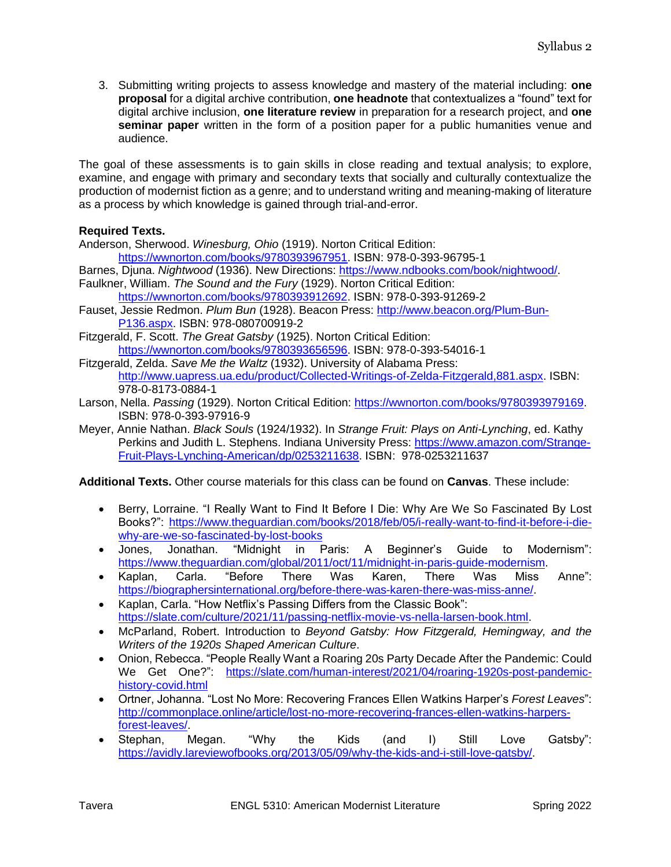3. Submitting writing projects to assess knowledge and mastery of the material including: **one proposal** for a digital archive contribution, **one headnote** that contextualizes a "found" text for digital archive inclusion, **one literature review** in preparation for a research project, and **one seminar paper** written in the form of a position paper for a public humanities venue and audience.

The goal of these assessments is to gain skills in close reading and textual analysis; to explore, examine, and engage with primary and secondary texts that socially and culturally contextualize the production of modernist fiction as a genre; and to understand writing and meaning-making of literature as a process by which knowledge is gained through trial-and-error.

## **Required Texts.**

Anderson, Sherwood. *Winesburg, Ohio* (1919). Norton Critical Edition:

[https://wwnorton.com/books/9780393967951.](https://wwnorton.com/books/9780393967951) ISBN: 978-0-393-96795-1

- Barnes, Djuna. *Nightwood* (1936). New Directions: [https://www.ndbooks.com/book/nightwood/.](https://www.ndbooks.com/book/nightwood/) Faulkner, William. *The Sound and the Fury* (1929). Norton Critical Edition:
	- [https://wwnorton.com/books/9780393912692.](https://wwnorton.com/books/9780393912692) ISBN: 978-0-393-91269-2
- Fauset, Jessie Redmon. *Plum Bun* (1928). Beacon Press: [http://www.beacon.org/Plum-Bun-](http://www.beacon.org/Plum-Bun-P136.aspx)[P136.aspx.](http://www.beacon.org/Plum-Bun-P136.aspx) ISBN: 978-080700919-2
- Fitzgerald, F. Scott. *The Great Gatsby* (1925). Norton Critical Edition: [https://wwnorton.com/books/9780393656596.](https://wwnorton.com/books/9780393656596) ISBN: 978-0-393-54016-1
- Fitzgerald, Zelda. *Save Me the Waltz* (1932). University of Alabama Press: [http://www.uapress.ua.edu/product/Collected-Writings-of-Zelda-Fitzgerald,881.aspx.](http://www.uapress.ua.edu/product/Collected-Writings-of-Zelda-Fitzgerald,881.aspx) ISBN: 978-0-8173-0884-1
- Larson, Nella. *Passing* (1929). Norton Critical Edition: [https://wwnorton.com/books/9780393979169.](https://wwnorton.com/books/9780393979169) ISBN: 978-0-393-97916-9
- Meyer, Annie Nathan. *Black Souls* (1924/1932). In *Strange Fruit: Plays on Anti-Lynching*, ed. Kathy Perkins and Judith L. Stephens. Indiana University Press: [https://www.amazon.com/Strange-](https://www.amazon.com/Strange-Fruit-Plays-Lynching-American/dp/0253211638)[Fruit-Plays-Lynching-American/dp/0253211638.](https://www.amazon.com/Strange-Fruit-Plays-Lynching-American/dp/0253211638) ISBN: 978-0253211637

**Additional Texts.** Other course materials for this class can be found on **Canvas**. These include:

- Berry, Lorraine. "I Really Want to Find It Before I Die: Why Are We So Fascinated By Lost Books?": [https://www.theguardian.com/books/2018/feb/05/i-really-want-to-find-it-before-i-die](https://www.theguardian.com/books/2018/feb/05/i-really-want-to-find-it-before-i-die-why-are-we-so-fascinated-by-lost-books)[why-are-we-so-fascinated-by-lost-books](https://www.theguardian.com/books/2018/feb/05/i-really-want-to-find-it-before-i-die-why-are-we-so-fascinated-by-lost-books)
- Jones, Jonathan. "Midnight in Paris: A Beginner's Guide to Modernism": [https://www.theguardian.com/global/2011/oct/11/midnight-in-paris-guide-modernism.](https://www.theguardian.com/global/2011/oct/11/midnight-in-paris-guide-modernism)
- Kaplan, Carla. "Before There Was Karen, There Was Miss Anne": [https://biographersinternational.org/before-there-was-karen-there-was-miss-anne/.](https://biographersinternational.org/before-there-was-karen-there-was-miss-anne/)
- Kaplan, Carla. "How Netflix's Passing Differs from the Classic Book": [https://slate.com/culture/2021/11/passing-netflix-movie-vs-nella-larsen-book.html.](https://slate.com/culture/2021/11/passing-netflix-movie-vs-nella-larsen-book.html)
- McParland, Robert. Introduction to *Beyond Gatsby: How Fitzgerald, Hemingway, and the Writers of the 1920s Shaped American Culture*.
- Onion, Rebecca. "People Really Want a Roaring 20s Party Decade After the Pandemic: Could We Get One?": [https://slate.com/human-interest/2021/04/roaring-1920s-post-pandemic](https://slate.com/human-interest/2021/04/roaring-1920s-post-pandemic-history-covid.html)[history-covid.html](https://slate.com/human-interest/2021/04/roaring-1920s-post-pandemic-history-covid.html)
- Ortner, Johanna. "Lost No More: Recovering Frances Ellen Watkins Harper's *Forest Leaves*": [http://commonplace.online/article/lost-no-more-recovering-frances-ellen-watkins-harpers](http://commonplace.online/article/lost-no-more-recovering-frances-ellen-watkins-harpers-forest-leaves/)[forest-leaves/.](http://commonplace.online/article/lost-no-more-recovering-frances-ellen-watkins-harpers-forest-leaves/)
- Stephan, Megan. "Why the Kids (and I) Still Love Gatsby": [https://avidly.lareviewofbooks.org/2013/05/09/why-the-kids-and-i-still-love-gatsby/.](https://avidly.lareviewofbooks.org/2013/05/09/why-the-kids-and-i-still-love-gatsby/)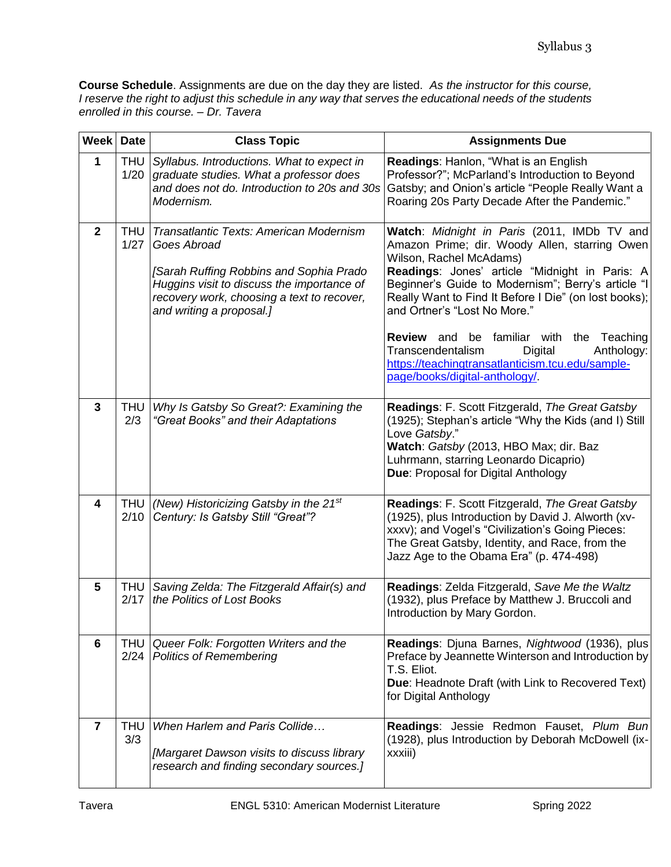**Course Schedule**. Assignments are due on the day they are listed. *As the instructor for this course, I reserve the right to adjust this schedule in any way that serves the educational needs of the students enrolled in this course. – Dr. Tavera*

| <b>Week Date</b>        |               | <b>Class Topic</b>                                                                                                                                                                                                        | <b>Assignments Due</b>                                                                                                                                                                                                                                                                                                                                                      |
|-------------------------|---------------|---------------------------------------------------------------------------------------------------------------------------------------------------------------------------------------------------------------------------|-----------------------------------------------------------------------------------------------------------------------------------------------------------------------------------------------------------------------------------------------------------------------------------------------------------------------------------------------------------------------------|
| $\mathbf{1}$            | THU<br>1/20   | Syllabus. Introductions. What to expect in<br>graduate studies. What a professor does<br>and does not do. Introduction to 20s and 30s<br>Modernism.                                                                       | Readings: Hanlon, "What is an English<br>Professor?"; McParland's Introduction to Beyond<br>Gatsby; and Onion's article "People Really Want a<br>Roaring 20s Party Decade After the Pandemic."                                                                                                                                                                              |
| $\mathbf{2}$            | THU<br>1/27   | Transatlantic Texts: American Modernism<br>Goes Abroad<br>[Sarah Ruffing Robbins and Sophia Prado<br>Huggins visit to discuss the importance of<br>recovery work, choosing a text to recover,<br>and writing a proposal.] | Watch: Midnight in Paris (2011, IMDb TV and<br>Amazon Prime; dir. Woody Allen, starring Owen<br>Wilson, Rachel McAdams)<br>Readings: Jones' article "Midnight in Paris: A<br>Beginner's Guide to Modernism"; Berry's article "I<br>Really Want to Find It Before I Die" (on lost books);<br>and Ortner's "Lost No More."<br><b>Review</b> and be familiar with the Teaching |
|                         |               |                                                                                                                                                                                                                           | Transcendentalism<br>Digital<br>Anthology:<br>https://teachingtransatlanticism.tcu.edu/sample-<br>page/books/digital-anthology/                                                                                                                                                                                                                                             |
| 3                       | THU<br>2/3    | Why Is Gatsby So Great?: Examining the<br>"Great Books" and their Adaptations                                                                                                                                             | Readings: F. Scott Fitzgerald, The Great Gatsby<br>(1925); Stephan's article "Why the Kids (and I) Still<br>Love Gatsby."<br>Watch: Gatsby (2013, HBO Max; dir. Baz<br>Luhrmann, starring Leonardo Dicaprio)<br>Due: Proposal for Digital Anthology                                                                                                                         |
| $\overline{\mathbf{4}}$ | THU<br>2/10   | (New) Historicizing Gatsby in the 21 <sup>st</sup><br>Century: Is Gatsby Still "Great"?                                                                                                                                   | Readings: F. Scott Fitzgerald, The Great Gatsby<br>(1925), plus Introduction by David J. Alworth (xv-<br>xxxv); and Vogel's "Civilization's Going Pieces:<br>The Great Gatsby, Identity, and Race, from the<br>Jazz Age to the Obama Era" (p. 474-498)                                                                                                                      |
| 5                       | THU<br>2/17   | Saving Zelda: The Fitzgerald Affair(s) and<br>the Politics of Lost Books                                                                                                                                                  | Readings: Zelda Fitzgerald, Save Me the Waltz<br>(1932), plus Preface by Matthew J. Bruccoli and<br>Introduction by Mary Gordon.                                                                                                                                                                                                                                            |
| 6                       | THU I<br>2/24 | Queer Folk: Forgotten Writers and the<br><b>Politics of Remembering</b>                                                                                                                                                   | Readings: Djuna Barnes, Nightwood (1936), plus<br>Preface by Jeannette Winterson and Introduction by<br>T.S. Eliot.<br>Due: Headnote Draft (with Link to Recovered Text)<br>for Digital Anthology                                                                                                                                                                           |
| $\overline{\mathbf{r}}$ | THU<br>3/3    | When Harlem and Paris Collide<br>[Margaret Dawson visits to discuss library<br>research and finding secondary sources.]                                                                                                   | Readings: Jessie Redmon Fauset, Plum Bun<br>(1928), plus Introduction by Deborah McDowell (ix-<br>xxxiii)                                                                                                                                                                                                                                                                   |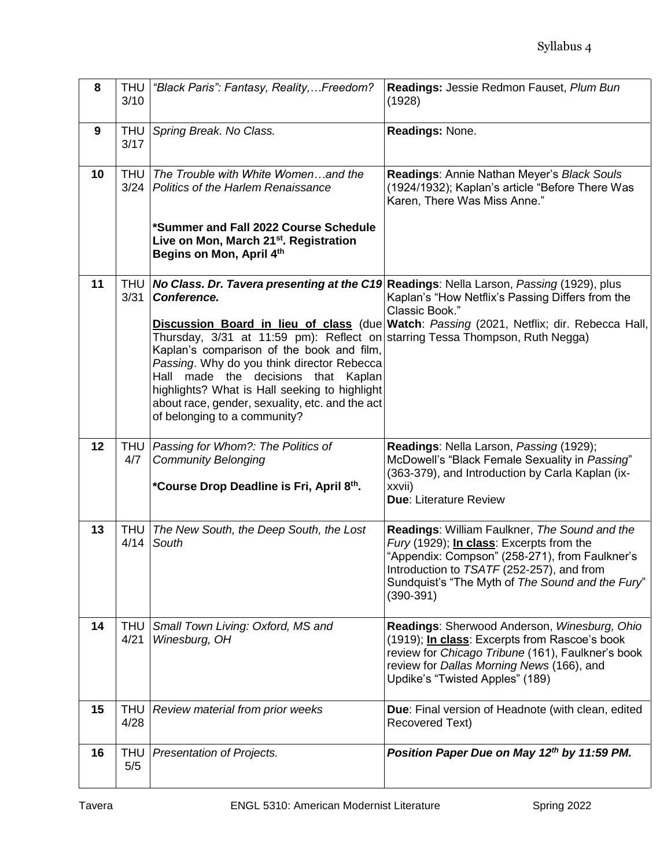| 8  | <b>THU</b><br>3/10 | "Black Paris": Fantasy, Reality,Freedom?                                                                                                                                                                                                                                                                                                                               | Readings: Jessie Redmon Fauset, Plum Bun<br>(1928)                                                                                                                                                                                                              |
|----|--------------------|------------------------------------------------------------------------------------------------------------------------------------------------------------------------------------------------------------------------------------------------------------------------------------------------------------------------------------------------------------------------|-----------------------------------------------------------------------------------------------------------------------------------------------------------------------------------------------------------------------------------------------------------------|
| 9  | THU  <br>3/17      | Spring Break. No Class.                                                                                                                                                                                                                                                                                                                                                | Readings: None.                                                                                                                                                                                                                                                 |
| 10 |                    | THU The Trouble with White Womenand the<br>3/24 Politics of the Harlem Renaissance<br>*Summer and Fall 2022 Course Schedule<br>Live on Mon, March 21st. Registration<br>Begins on Mon, April 4th                                                                                                                                                                       | Readings: Annie Nathan Meyer's Black Souls<br>(1924/1932); Kaplan's article "Before There Was<br>Karen, There Was Miss Anne."                                                                                                                                   |
| 11 |                    | 3/31 Conference.<br>Thursday, 3/31 at 11:59 pm): Reflect on starring Tessa Thompson, Ruth Negga)<br>Kaplan's comparison of the book and film,<br>Passing. Why do you think director Rebecca<br>Hall made the decisions that Kaplan<br>highlights? What is Hall seeking to highlight<br>about race, gender, sexuality, etc. and the act<br>of belonging to a community? | THU   No Class. Dr. Tavera presenting at the C19 Readings: Nella Larson, Passing (1929), plus<br>Kaplan's "How Netflix's Passing Differs from the<br>Classic Book."<br>Discussion Board in lieu of class (due Watch: Passing (2021, Netflix; dir. Rebecca Hall, |
| 12 | 4/7                | THU   Passing for Whom?: The Politics of<br><b>Community Belonging</b><br>*Course Drop Deadline is Fri, April 8th.                                                                                                                                                                                                                                                     | Readings: Nella Larson, Passing (1929);<br>McDowell's "Black Female Sexuality in Passing"<br>(363-379), and Introduction by Carla Kaplan (ix-<br>xxvii)<br><b>Due: Literature Review</b>                                                                        |
| 13 | THU<br>4/14        | The New South, the Deep South, the Lost<br>South                                                                                                                                                                                                                                                                                                                       | Readings: William Faulkner, The Sound and the<br>Fury (1929); In class: Excerpts from the<br>"Appendix: Compson" (258-271), from Faulkner's<br>Introduction to TSATF (252-257), and from<br>Sundquist's "The Myth of The Sound and the Fury"<br>$(390-391)$     |
| 14 | 4/21               | THU Small Town Living: Oxford, MS and<br>Winesburg, OH                                                                                                                                                                                                                                                                                                                 | Readings: Sherwood Anderson, Winesburg, Ohio<br>(1919); <i>In class:</i> Excerpts from Rascoe's book<br>review for Chicago Tribune (161), Faulkner's book<br>review for Dallas Morning News (166), and<br>Updike's "Twisted Apples" (189)                       |
| 15 | THU<br>4/28        | Review material from prior weeks                                                                                                                                                                                                                                                                                                                                       | <b>Due:</b> Final version of Headnote (with clean, edited<br>Recovered Text)                                                                                                                                                                                    |
| 16 | THU<br>5/5         | Presentation of Projects.                                                                                                                                                                                                                                                                                                                                              | Position Paper Due on May 12th by 11:59 PM.                                                                                                                                                                                                                     |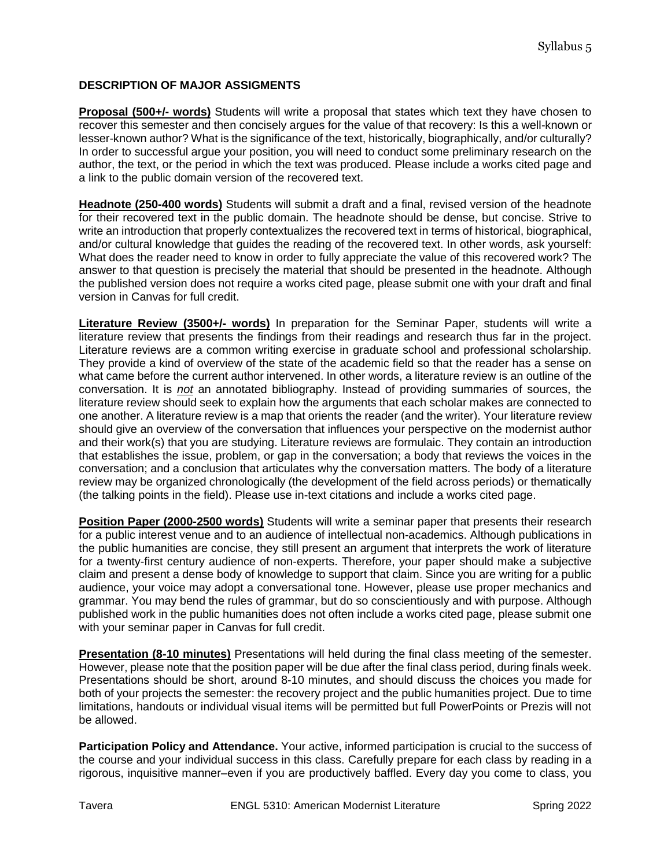# **DESCRIPTION OF MAJOR ASSIGMENTS**

**Proposal (500+/- words)** Students will write a proposal that states which text they have chosen to recover this semester and then concisely argues for the value of that recovery: Is this a well-known or lesser-known author? What is the significance of the text, historically, biographically, and/or culturally? In order to successful argue your position, you will need to conduct some preliminary research on the author, the text, or the period in which the text was produced. Please include a works cited page and a link to the public domain version of the recovered text.

**Headnote (250-400 words)** Students will submit a draft and a final, revised version of the headnote for their recovered text in the public domain. The headnote should be dense, but concise. Strive to write an introduction that properly contextualizes the recovered text in terms of historical, biographical, and/or cultural knowledge that guides the reading of the recovered text. In other words, ask yourself: What does the reader need to know in order to fully appreciate the value of this recovered work? The answer to that question is precisely the material that should be presented in the headnote. Although the published version does not require a works cited page, please submit one with your draft and final version in Canvas for full credit.

**Literature Review (3500+/- words)** In preparation for the Seminar Paper, students will write a literature review that presents the findings from their readings and research thus far in the project. Literature reviews are a common writing exercise in graduate school and professional scholarship. They provide a kind of overview of the state of the academic field so that the reader has a sense on what came before the current author intervened. In other words, a literature review is an outline of the conversation. It is *not* an annotated bibliography. Instead of providing summaries of sources, the literature review should seek to explain how the arguments that each scholar makes are connected to one another. A literature review is a map that orients the reader (and the writer). Your literature review should give an overview of the conversation that influences your perspective on the modernist author and their work(s) that you are studying. Literature reviews are formulaic. They contain an introduction that establishes the issue, problem, or gap in the conversation; a body that reviews the voices in the conversation; and a conclusion that articulates why the conversation matters. The body of a literature review may be organized chronologically (the development of the field across periods) or thematically (the talking points in the field). Please use in-text citations and include a works cited page.

**Position Paper (2000-2500 words)** Students will write a seminar paper that presents their research for a public interest venue and to an audience of intellectual non-academics. Although publications in the public humanities are concise, they still present an argument that interprets the work of literature for a twenty-first century audience of non-experts. Therefore, your paper should make a subjective claim and present a dense body of knowledge to support that claim. Since you are writing for a public audience, your voice may adopt a conversational tone. However, please use proper mechanics and grammar. You may bend the rules of grammar, but do so conscientiously and with purpose. Although published work in the public humanities does not often include a works cited page, please submit one with your seminar paper in Canvas for full credit.

**Presentation (8-10 minutes)** Presentations will held during the final class meeting of the semester. However, please note that the position paper will be due after the final class period, during finals week. Presentations should be short, around 8-10 minutes, and should discuss the choices you made for both of your projects the semester: the recovery project and the public humanities project. Due to time limitations, handouts or individual visual items will be permitted but full PowerPoints or Prezis will not be allowed.

**Participation Policy and Attendance.** Your active, informed participation is crucial to the success of the course and your individual success in this class. Carefully prepare for each class by reading in a rigorous, inquisitive manner–even if you are productively baffled. Every day you come to class, you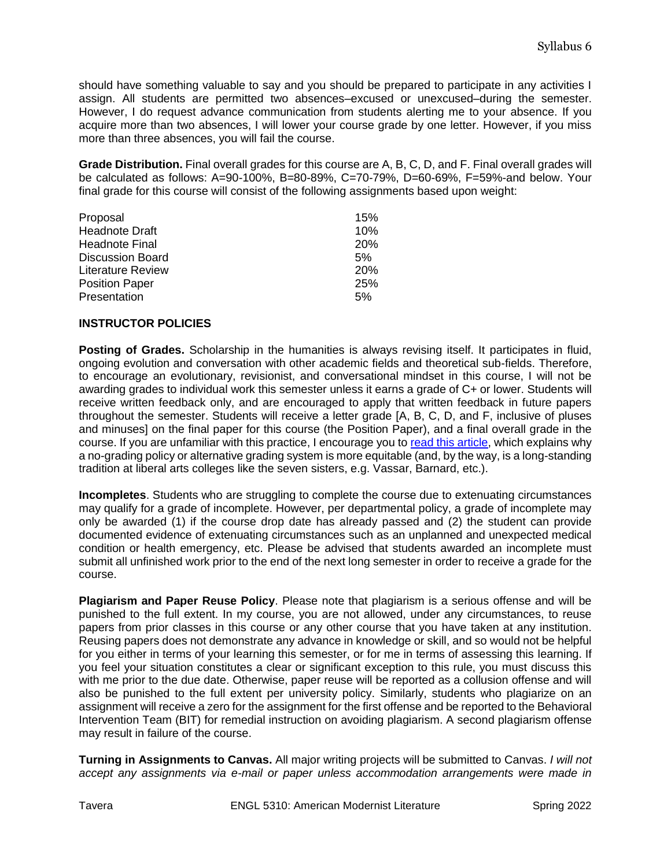should have something valuable to say and you should be prepared to participate in any activities I assign. All students are permitted two absences–excused or unexcused–during the semester. However, I do request advance communication from students alerting me to your absence. If you acquire more than two absences, I will lower your course grade by one letter. However, if you miss more than three absences, you will fail the course.

**Grade Distribution.** Final overall grades for this course are A, B, C, D, and F. Final overall grades will be calculated as follows: A=90-100%, B=80-89%, C=70-79%, D=60-69%, F=59%-and below. Your final grade for this course will consist of the following assignments based upon weight:

| Proposal                 | 15%        |
|--------------------------|------------|
| <b>Headnote Draft</b>    | 10%        |
| <b>Headnote Final</b>    | <b>20%</b> |
| <b>Discussion Board</b>  | 5%         |
| <b>Literature Review</b> | 20%        |
| <b>Position Paper</b>    | 25%        |
| Presentation             | 5%         |

#### **INSTRUCTOR POLICIES**

**Posting of Grades.** Scholarship in the humanities is always revising itself. It participates in fluid, ongoing evolution and conversation with other academic fields and theoretical sub-fields. Therefore, to encourage an evolutionary, revisionist, and conversational mindset in this course, I will not be awarding grades to individual work this semester unless it earns a grade of C+ or lower. Students will receive written feedback only, and are encouraged to apply that written feedback in future papers throughout the semester. Students will receive a letter grade [A, B, C, D, and F, inclusive of pluses and minuses] on the final paper for this course (the Position Paper), and a final overall grade in the course. If you are unfamiliar with this practice, I encourage you to [read this article,](https://daily.jstor.org/is-it-time-to-reexamine-grading/) which explains why a no-grading policy or alternative grading system is more equitable (and, by the way, is a long-standing tradition at liberal arts colleges like the seven sisters, e.g. Vassar, Barnard, etc.).

**Incompletes**. Students who are struggling to complete the course due to extenuating circumstances may qualify for a grade of incomplete. However, per departmental policy, a grade of incomplete may only be awarded (1) if the course drop date has already passed and (2) the student can provide documented evidence of extenuating circumstances such as an unplanned and unexpected medical condition or health emergency, etc. Please be advised that students awarded an incomplete must submit all unfinished work prior to the end of the next long semester in order to receive a grade for the course.

**Plagiarism and Paper Reuse Policy**. Please note that plagiarism is a serious offense and will be punished to the full extent. In my course, you are not allowed, under any circumstances, to reuse papers from prior classes in this course or any other course that you have taken at any institution. Reusing papers does not demonstrate any advance in knowledge or skill, and so would not be helpful for you either in terms of your learning this semester, or for me in terms of assessing this learning. If you feel your situation constitutes a clear or significant exception to this rule, you must discuss this with me prior to the due date. Otherwise, paper reuse will be reported as a collusion offense and will also be punished to the full extent per university policy. Similarly, students who plagiarize on an assignment will receive a zero for the assignment for the first offense and be reported to the Behavioral Intervention Team (BIT) for remedial instruction on avoiding plagiarism. A second plagiarism offense may result in failure of the course.

**Turning in Assignments to Canvas.** All major writing projects will be submitted to Canvas. *I will not accept any assignments via e-mail or paper unless accommodation arrangements were made in*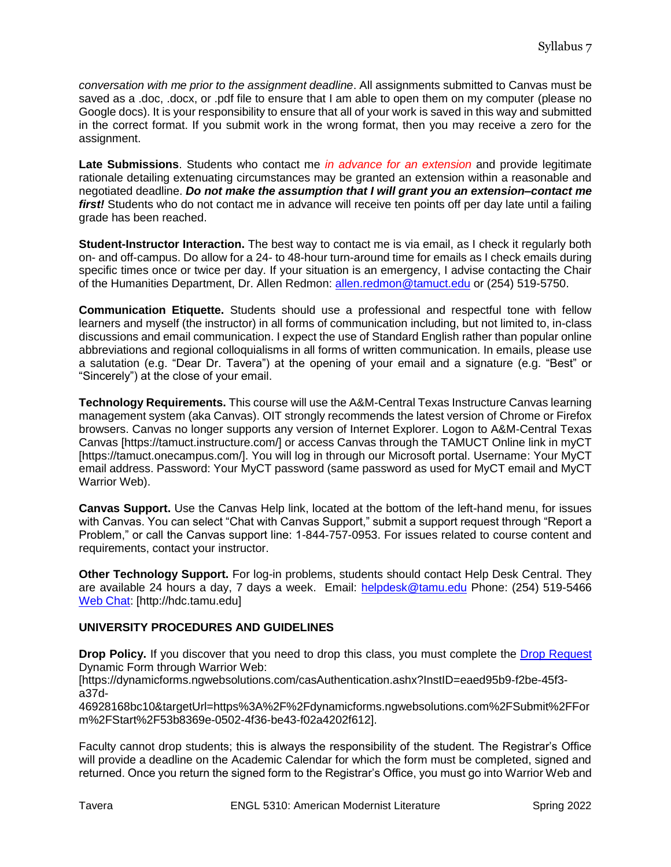*conversation with me prior to the assignment deadline*. All assignments submitted to Canvas must be saved as a .doc, .docx, or .pdf file to ensure that I am able to open them on my computer (please no Google docs). It is your responsibility to ensure that all of your work is saved in this way and submitted in the correct format. If you submit work in the wrong format, then you may receive a zero for the assignment.

**Late Submissions**. Students who contact me *in advance for an extension* and provide legitimate rationale detailing extenuating circumstances may be granted an extension within a reasonable and negotiated deadline. *Do not make the assumption that I will grant you an extension–contact me*  first! Students who do not contact me in advance will receive ten points off per day late until a failing grade has been reached.

**Student-Instructor Interaction.** The best way to contact me is via email, as I check it regularly both on- and off-campus. Do allow for a 24- to 48-hour turn-around time for emails as I check emails during specific times once or twice per day. If your situation is an emergency, I advise contacting the Chair of the Humanities Department, Dr. Allen Redmon: [allen.redmon@tamuct.edu](mailto:allen.redmon@tamuct.edu) or (254) 519-5750.

**Communication Etiquette.** Students should use a professional and respectful tone with fellow learners and myself (the instructor) in all forms of communication including, but not limited to, in-class discussions and email communication. I expect the use of Standard English rather than popular online abbreviations and regional colloquialisms in all forms of written communication. In emails, please use a salutation (e.g. "Dear Dr. Tavera") at the opening of your email and a signature (e.g. "Best" or "Sincerely") at the close of your email.

**Technology Requirements.** This course will use the A&M-Central Texas Instructure Canvas learning management system (aka Canvas). OIT strongly recommends the latest version of Chrome or Firefox browsers. Canvas no longer supports any version of Internet Explorer. Logon to A&M-Central Texas Canvas [https://tamuct.instructure.com/] or access Canvas through the TAMUCT Online link in myCT [https://tamuct.onecampus.com/]. You will log in through our Microsoft portal. Username: Your MyCT email address. Password: Your MyCT password (same password as used for MyCT email and MyCT Warrior Web).

**Canvas Support.** Use the Canvas Help link, located at the bottom of the left-hand menu, for issues with Canvas. You can select "Chat with Canvas Support," submit a support request through "Report a Problem," or call the Canvas support line: 1-844-757-0953. For issues related to course content and requirements, contact your instructor.

**Other Technology Support.** For log-in problems, students should contact Help Desk Central. They are available 24 hours a day, 7 days a week. Email: [helpdesk@tamu.edu](mailto:helpdesk@tamu.edu) Phone: (254) 519-5466 [Web Chat:](http://hdc.tamu.edu/) [http://hdc.tamu.edu]

# **UNIVERSITY PROCEDURES AND GUIDELINES**

**Drop Policy.** If you discover that you need to drop this class, you must complete the [Drop Request](https://dynamicforms.ngwebsolutions.com/casAuthentication.ashx?InstID=eaed95b9-f2be-45f3-a37d-46928168bc10&targetUrl=https%3A%2F%2Fdynamicforms.ngwebsolutions.com%2FSubmit%2FForm%2FStart%2F53b8369e-0502-4f36-be43-f02a4202f612) Dynamic Form through Warrior Web:

[https://dynamicforms.ngwebsolutions.com/casAuthentication.ashx?InstID=eaed95b9-f2be-45f3 a37d-

46928168bc10&targetUrl=https%3A%2F%2Fdynamicforms.ngwebsolutions.com%2FSubmit%2FFor m%2FStart%2F53b8369e-0502-4f36-be43-f02a4202f612].

Faculty cannot drop students; this is always the responsibility of the student. The Registrar's Office will provide a deadline on the Academic Calendar for which the form must be completed, signed and returned. Once you return the signed form to the Registrar's Office, you must go into Warrior Web and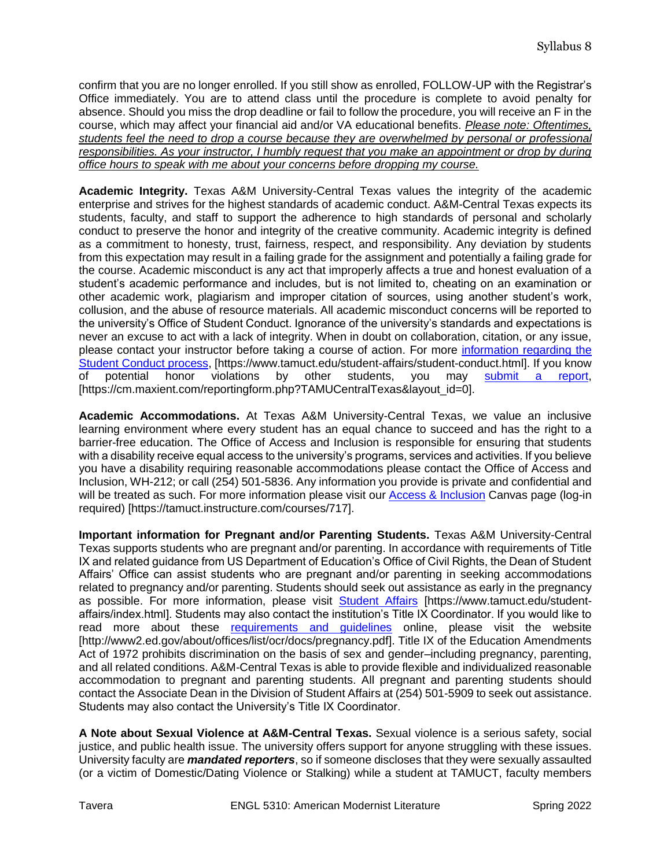confirm that you are no longer enrolled. If you still show as enrolled, FOLLOW-UP with the Registrar's Office immediately. You are to attend class until the procedure is complete to avoid penalty for absence. Should you miss the drop deadline or fail to follow the procedure, you will receive an F in the course, which may affect your financial aid and/or VA educational benefits. *Please note: Oftentimes, students feel the need to drop a course because they are overwhelmed by personal or professional responsibilities. As your instructor, I humbly request that you make an appointment or drop by during office hours to speak with me about your concerns before dropping my course.*

**Academic Integrity.** Texas A&M University-Central Texas values the integrity of the academic enterprise and strives for the highest standards of academic conduct. A&M-Central Texas expects its students, faculty, and staff to support the adherence to high standards of personal and scholarly conduct to preserve the honor and integrity of the creative community. Academic integrity is defined as a commitment to honesty, trust, fairness, respect, and responsibility. Any deviation by students from this expectation may result in a failing grade for the assignment and potentially a failing grade for the course. Academic misconduct is any act that improperly affects a true and honest evaluation of a student's academic performance and includes, but is not limited to, cheating on an examination or other academic work, plagiarism and improper citation of sources, using another student's work, collusion, and the abuse of resource materials. All academic misconduct concerns will be reported to the university's Office of Student Conduct. Ignorance of the university's standards and expectations is never an excuse to act with a lack of integrity. When in doubt on collaboration, citation, or any issue, please contact your instructor before taking a course of action. For more [information regarding the](https://www.tamuct.edu/student-affairs/student-conduct.html)  [Student Conduct process,](https://www.tamuct.edu/student-affairs/student-conduct.html) [https://www.tamuct.edu/student-affairs/student-conduct.html]. If you know of potential honor violations by other students, you may [submit a report,](https://cm.maxient.com/reportingform.php?TAMUCentralTexas&layout_id=0) [https://cm.maxient.com/reportingform.php?TAMUCentralTexas&layout\_id=0].

**Academic Accommodations.** At Texas A&M University-Central Texas, we value an inclusive learning environment where every student has an equal chance to succeed and has the right to a barrier-free education. The Office of Access and Inclusion is responsible for ensuring that students with a disability receive equal access to the university's programs, services and activities. If you believe you have a disability requiring reasonable accommodations please contact the Office of Access and Inclusion, WH-212; or call (254) 501-5836. Any information you provide is private and confidential and will be treated as such. For more information please visit our [Access & Inclusion](https://tamuct.instructure.com/courses/717) Canvas page (log-in required) [https://tamuct.instructure.com/courses/717].

**Important information for Pregnant and/or Parenting Students.** Texas A&M University-Central Texas supports students who are pregnant and/or parenting. In accordance with requirements of Title IX and related guidance from US Department of Education's Office of Civil Rights, the Dean of Student Affairs' Office can assist students who are pregnant and/or parenting in seeking accommodations related to pregnancy and/or parenting. Students should seek out assistance as early in the pregnancy as possible. For more information, please visit [Student Affairs](https://www.tamuct.edu/student-affairs/index.html) [https://www.tamuct.edu/studentaffairs/index.html]. Students may also contact the institution's Title IX Coordinator. If you would like to read more about these [requirements and guidelines](http://www2.ed.gov/about/offices/list/ocr/docs/pregnancy.pdf) online, please visit the website [http://www2.ed.gov/about/offices/list/ocr/docs/pregnancy.pdf]. Title IX of the Education Amendments Act of 1972 prohibits discrimination on the basis of sex and gender–including pregnancy, parenting, and all related conditions. A&M-Central Texas is able to provide flexible and individualized reasonable accommodation to pregnant and parenting students. All pregnant and parenting students should contact the Associate Dean in the Division of Student Affairs at (254) 501-5909 to seek out assistance. Students may also contact the University's Title IX Coordinator.

**A Note about Sexual Violence at A&M-Central Texas.** Sexual violence is a serious safety, social justice, and public health issue. The university offers support for anyone struggling with these issues. University faculty are *mandated reporters*, so if someone discloses that they were sexually assaulted (or a victim of Domestic/Dating Violence or Stalking) while a student at TAMUCT, faculty members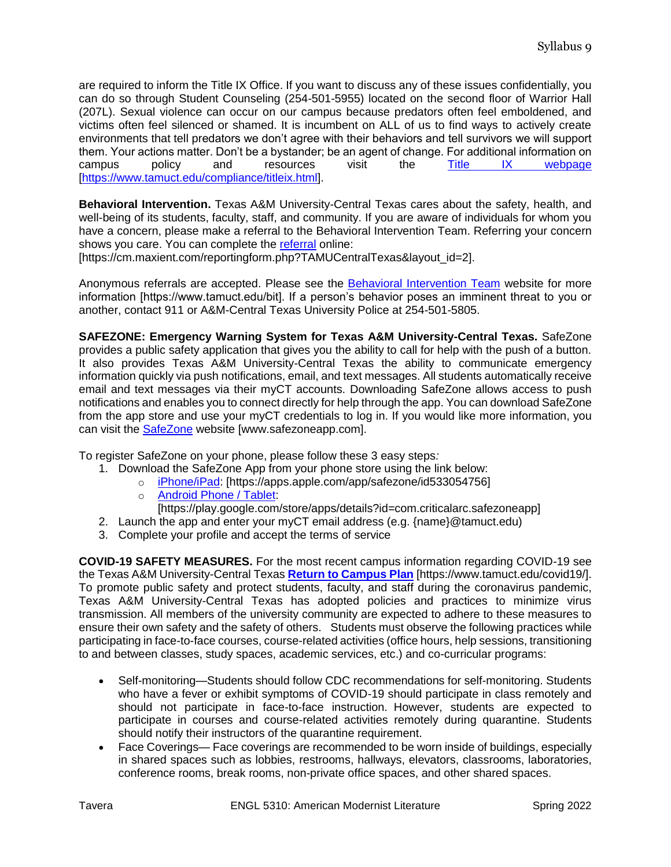are required to inform the Title IX Office. If you want to discuss any of these issues confidentially, you can do so through Student Counseling (254-501-5955) located on the second floor of Warrior Hall (207L). Sexual violence can occur on our campus because predators often feel emboldened, and victims often feel silenced or shamed. It is incumbent on ALL of us to find ways to actively create environments that tell predators we don't agree with their behaviors and tell survivors we will support them. Your actions matter. Don't be a bystander; be an agent of change. For additional information on campus policy and resources visit the <u>[Title IX webpage](https://www.tamuct.edu/compliance/titleix.html)</u> [\[https://www.tamuct.edu/compliance/titleix.html\]](https://www.tamuct.edu/compliance/titleix.html).

**Behavioral Intervention.** Texas A&M University-Central Texas cares about the safety, health, and well-being of its students, faculty, staff, and community. If you are aware of individuals for whom you have a concern, please make a referral to the Behavioral Intervention Team. Referring your concern shows you care. You can complete the [referral](https://cm.maxient.com/reportingform.php?TAMUCentralTexas&layout_id=2) online:

[https://cm.maxient.com/reportingform.php?TAMUCentralTexas&layout\_id=2].

Anonymous referrals are accepted. Please see the [Behavioral Intervention Team](https://www.tamuct.edu/bit) website for more information [https://www.tamuct.edu/bit]. If a person's behavior poses an imminent threat to you or another, contact 911 or A&M-Central Texas University Police at 254-501-5805.

**SAFEZONE: Emergency Warning System for Texas A&M University-Central Texas.** SafeZone provides a public safety application that gives you the ability to call for help with the push of a button. It also provides Texas A&M University-Central Texas the ability to communicate emergency information quickly via push notifications, email, and text messages. All students automatically receive email and text messages via their myCT accounts. Downloading SafeZone allows access to push notifications and enables you to connect directly for help through the app. You can download SafeZone from the app store and use your myCT credentials to log in. If you would like more information, you can visit the [SafeZone](http://www.safezoneapp.com/) website [www.safezoneapp.com].

To register SafeZone on your phone, please follow these 3 easy steps*:*

- 1. Download the SafeZone App from your phone store using the link below:
	- o [iPhone/iPad:](https://apps.apple.com/app/safezone/id533054756) [https://apps.apple.com/app/safezone/id533054756]
		- o [Android Phone / Tablet:](https://play.google.com/store/apps/details?id=com.criticalarc.safezoneapp)
		- [https://play.google.com/store/apps/details?id=com.criticalarc.safezoneapp]
- 2. Launch the app and enter your myCT email address (e.g. {name}@tamuct.edu)
- 3. Complete your profile and accept the terms of service

**COVID-19 SAFETY MEASURES.** For the most recent campus information regarding COVID-19 see the Texas A&M University-Central Texas **[Return to Campus Plan](https://nam04.safelinks.protection.outlook.com/?url=https%3A%2F%2Fwww.tamuct.edu%2Fcovid19%2F&data=04%7C01%7Cstavera%40tamuct.edu%7C74c46fbdfc144d0a172e08d9627f5e12%7C9eed4e3000f744849ff193ad8005acec%7C0%7C0%7C637649121440358627%7CUnknown%7CTWFpbGZsb3d8eyJWIjoiMC4wLjAwMDAiLCJQIjoiV2luMzIiLCJBTiI6Ik1haWwiLCJXVCI6Mn0%3D%7C1000&sdata=%2FcZfhfW8%2Bz7bZUo84wEkaPFPw27RjyJsDMxk1OTMszo%3D&reserved=0)** [https://www.tamuct.edu/covid19/]. To promote public safety and protect students, faculty, and staff during the coronavirus pandemic, Texas A&M University-Central Texas has adopted policies and practices to minimize virus transmission. All members of the university community are expected to adhere to these measures to ensure their own safety and the safety of others. Students must observe the following practices while participating in face-to-face courses, course-related activities (office hours, help sessions, transitioning to and between classes, study spaces, academic services, etc.) and co-curricular programs:

- Self-monitoring—Students should follow CDC recommendations for self-monitoring. Students who have a fever or exhibit symptoms of COVID-19 should participate in class remotely and should not participate in face-to-face instruction.However, students are expected to participate in courses and course-related activities remotely during quarantine. Students should notify their instructors of the quarantine requirement.
- Face Coverings— Face coverings are recommended to be worn inside of buildings, especially in shared spaces such as lobbies, restrooms, hallways, elevators, classrooms, laboratories, conference rooms, break rooms, non-private office spaces, and other shared spaces.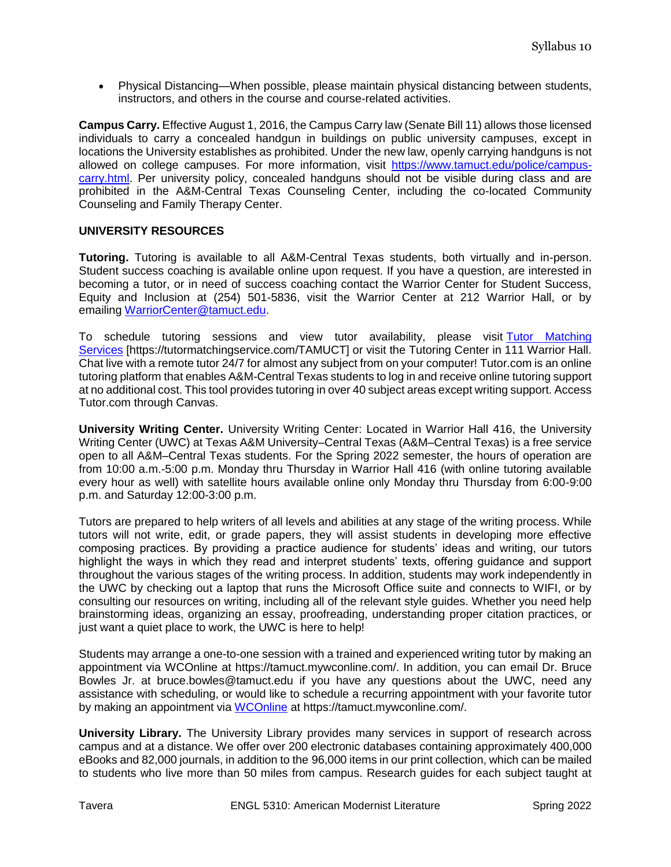Physical Distancing—When possible, please maintain physical distancing between students, instructors, and others in the course and course-related activities.

**Campus Carry.** Effective August 1, 2016, the Campus Carry law (Senate Bill 11) allows those licensed individuals to carry a concealed handgun in buildings on public university campuses, except in locations the University establishes as prohibited. Under the new law, openly carrying handguns is not allowed on college campuses. For more information, visit [https://www.tamuct.edu/police/campus](https://www.tamuct.edu/police/campus-carry.html)[carry.html.](https://www.tamuct.edu/police/campus-carry.html) Per university policy, concealed handguns should not be visible during class and are prohibited in the A&M-Central Texas Counseling Center, including the co-located Community Counseling and Family Therapy Center.

### **UNIVERSITY RESOURCES**

**Tutoring.** Tutoring is available to all A&M-Central Texas students, both virtually and in-person. Student success coaching is available online upon request. If you have a question, are interested in becoming a tutor, or in need of success coaching contact the Warrior Center for Student Success, Equity and Inclusion at (254) 501-5836, visit the Warrior Center at 212 Warrior Hall, or by emailing [WarriorCenter@tamuct.edu.](mailto:WarriorCenter@tamuct.edu)

To schedule tutoring sessions and view tutor availability, please visit Tutor Matching [Services](https://tutormatchingservice.com/TAMUCT) [https://tutormatchingservice.com/TAMUCT] or visit the Tutoring Center in 111 Warrior Hall. Chat live with a remote tutor 24/7 for almost any subject from on your computer! Tutor.com is an online tutoring platform that enables A&M-Central Texas students to log in and receive online tutoring support at no additional cost. This tool provides tutoring in over 40 subject areas except writing support. Access Tutor.com through Canvas.

**University Writing Center.** University Writing Center: Located in Warrior Hall 416, the University Writing Center (UWC) at Texas A&M University–Central Texas (A&M–Central Texas) is a free service open to all A&M–Central Texas students. For the Spring 2022 semester, the hours of operation are from 10:00 a.m.-5:00 p.m. Monday thru Thursday in Warrior Hall 416 (with online tutoring available every hour as well) with satellite hours available online only Monday thru Thursday from 6:00-9:00 p.m. and Saturday 12:00-3:00 p.m.

Tutors are prepared to help writers of all levels and abilities at any stage of the writing process. While tutors will not write, edit, or grade papers, they will assist students in developing more effective composing practices. By providing a practice audience for students' ideas and writing, our tutors highlight the ways in which they read and interpret students' texts, offering guidance and support throughout the various stages of the writing process. In addition, students may work independently in the UWC by checking out a laptop that runs the Microsoft Office suite and connects to WIFI, or by consulting our resources on writing, including all of the relevant style guides. Whether you need help brainstorming ideas, organizing an essay, proofreading, understanding proper citation practices, or just want a quiet place to work, the UWC is here to help!

Students may arrange a one-to-one session with a trained and experienced writing tutor by making an appointment via WCOnline at https://tamuct.mywconline.com/. In addition, you can email Dr. Bruce Bowles Jr. at bruce.bowles@tamuct.edu if you have any questions about the UWC, need any assistance with scheduling, or would like to schedule a recurring appointment with your favorite tutor by making an appointment via [WCOnline](https://tamuct.mywconline.com/) at https://tamuct.mywconline.com/.

**University Library.** The University Library provides many services in support of research across campus and at a distance. We offer over 200 electronic databases containing approximately 400,000 eBooks and 82,000 journals, in addition to the 96,000 items in our print collection, which can be mailed to students who live more than 50 miles from campus. Research guides for each subject taught at